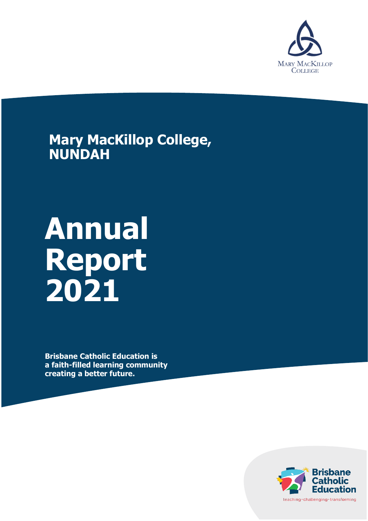

**Mary MacKillop College, NUNDAH**

# **Annual Report 2021**

**Brisbane Catholic Education is a faith-filled learning community creating a better future.**

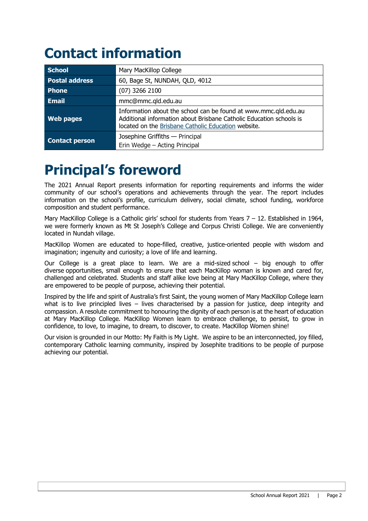# **Contact information**

| <b>School</b>         | Mary MacKillop College                                                                                                                                                                        |  |  |  |
|-----------------------|-----------------------------------------------------------------------------------------------------------------------------------------------------------------------------------------------|--|--|--|
| <b>Postal address</b> | 60, Bage St, NUNDAH, QLD, 4012                                                                                                                                                                |  |  |  |
| Phone                 | $(07)$ 3266 2100                                                                                                                                                                              |  |  |  |
| <b>Email</b>          | mmc@mmc.gld.edu.au                                                                                                                                                                            |  |  |  |
| <b>Web pages</b>      | Information about the school can be found at www.mmc.qld.edu.au<br>Additional information about Brisbane Catholic Education schools is<br>located on the Brisbane Catholic Education website. |  |  |  |
| <b>Contact person</b> | Josephine Griffiths - Principal<br>Erin Wedge - Acting Principal                                                                                                                              |  |  |  |

# **Principal's foreword**

The 2021 Annual Report presents information for reporting requirements and informs the wider community of our school's operations and achievements through the year. The report includes information on the school's profile, curriculum delivery, social climate, school funding, workforce composition and student performance.

Mary MacKillop College is a Catholic girls' school for students from Years 7 – 12. Established in 1964, we were formerly known as Mt St Joseph's College and Corpus Christi College. We are conveniently located in Nundah village.

MacKillop Women are educated to hope-filled, creative, justice-oriented people with wisdom and imagination; ingenuity and curiosity; a love of life and learning.

Our College is a great place to learn. We are a mid-sized school – big enough to offer diverse opportunities, small enough to ensure that each MacKillop woman is known and cared for, challenged and celebrated. Students and staff alike love being at Mary MacKillop College, where they are empowered to be people of purpose, achieving their potential.

Inspired by the life and spirit of Australia's first Saint, the young women of Mary MacKillop College learn what is to live principled lives – lives characterised by a passion for justice, deep integrity and compassion. A resolute commitment to honouring the dignity of each person is at the heart of education at Mary MacKillop College. MacKillop Women learn to embrace challenge, to persist, to grow in confidence, to love, to imagine, to dream, to discover, to create. MacKillop Women shine!

Our vision is grounded in our Motto: My Faith is My Light. We aspire to be an interconnected, joy filled, contemporary Catholic learning community, inspired by Josephite traditions to be people of purpose achieving our potential.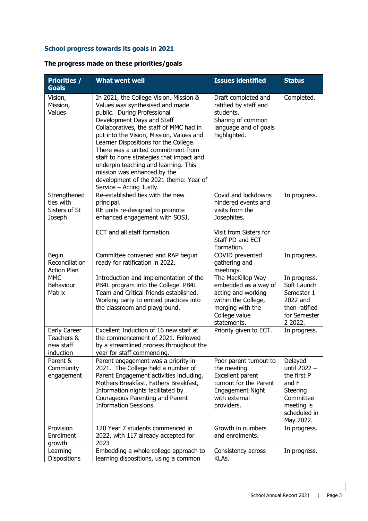#### **School progress towards its goals in 2021**

#### **The progress made on these priorities/goals**

| <b>Priorities /</b><br><b>Goals</b>                  | <b>What went well</b>                                                                                                                                                                                                                                                                                                                                                                                                                                                                                 | <b>Issues identified</b>                                                                                                                       | <b>Status</b>                                                                                                       |
|------------------------------------------------------|-------------------------------------------------------------------------------------------------------------------------------------------------------------------------------------------------------------------------------------------------------------------------------------------------------------------------------------------------------------------------------------------------------------------------------------------------------------------------------------------------------|------------------------------------------------------------------------------------------------------------------------------------------------|---------------------------------------------------------------------------------------------------------------------|
| Vision,<br>Mission,<br>Values                        | In 2021, the College Vision, Mission &<br>Values was synthesised and made<br>public. During Professional<br>Development Days and Staff<br>Collaboratives, the staff of MMC had in<br>put into the Vision, Mission, Values and<br>Learner Dispositions for the College.<br>There was a united commitment from<br>staff to hone strategies that impact and<br>underpin teaching and learning. This<br>mission was enhanced by the<br>development of the 2021 theme: Year of<br>Service - Acting Justly. | Draft completed and<br>ratified by staff and<br>students.<br>Sharing of common<br>language and of goals<br>highlighted.                        | Completed.                                                                                                          |
| Strengthened<br>ties with<br>Sisters of St<br>Joseph | Re-established ties with the new<br>principal.<br>RE units re-designed to promote<br>enhanced engagement with SOSJ.<br>ECT and all staff formation.                                                                                                                                                                                                                                                                                                                                                   | Covid and lockdowns<br>hindered events and<br>visits from the<br>Josephites.<br>Visit from Sisters for<br>Staff PD and ECT<br>Formation.       | In progress.                                                                                                        |
| Begin<br>Reconciliation<br><b>Action Plan</b>        | Committee convened and RAP begun<br>ready for ratification in 2022.                                                                                                                                                                                                                                                                                                                                                                                                                                   | COVID prevented<br>gathering and<br>meetings.                                                                                                  | In progress.                                                                                                        |
| <b>MMC</b><br>Behaviour<br><b>Matrix</b>             | Introduction and implementation of the<br>PB4L program into the College. PB4L<br>Team and Critical friends established.<br>Working party to embed practices into<br>the classroom and playground.                                                                                                                                                                                                                                                                                                     | The MacKillop Way<br>embedded as a way of<br>acting and working<br>within the College,<br>merging with the<br>College value<br>statements.     | In progress.<br>Soft Launch<br>Semester 1<br>2022 and<br>then ratified<br>for Semester<br>2 2022.                   |
| Early Career<br>Teachers &<br>new staff<br>induction | Excellent Induction of 16 new staff at<br>the commencement of 2021. Followed<br>by a streamlined process throughout the<br>year for staff commencing.                                                                                                                                                                                                                                                                                                                                                 | Priority given to ECT.                                                                                                                         | In progress.                                                                                                        |
| Parent &<br>Community<br>engagement                  | Parent engagement was a priority in<br>2021. The College held a number of<br>Parent Engagement activities including,<br>Mothers Breakfast, Fathers Breakfast,<br>Information nights facilitated by<br>Courageous Parenting and Parent<br><b>Information Sessions.</b>                                                                                                                                                                                                                                 | Poor parent turnout to<br>the meeting.<br>Excellent parent<br>turnout for the Parent<br><b>Engagement Night</b><br>with external<br>providers. | Delayed<br>until 2022 -<br>the first P<br>and F<br>Steering<br>Committee<br>meeting is<br>scheduled in<br>May 2022. |
| Provision<br>Enrolment<br>growth                     | 120 Year 7 students commenced in<br>2022, with 117 already accepted for<br>2023                                                                                                                                                                                                                                                                                                                                                                                                                       | Growth in numbers<br>and enrolments.                                                                                                           | In progress.                                                                                                        |
| Learning<br><b>Dispositions</b>                      | Embedding a whole college approach to<br>learning dispositions, using a common                                                                                                                                                                                                                                                                                                                                                                                                                        | Consistency across<br>KLAs.                                                                                                                    | In progress.                                                                                                        |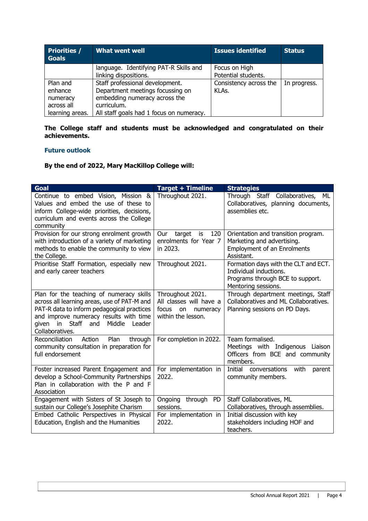| Priorities /<br><b>Goals</b> | <b>What went well</b>                    | <b>Issues identified</b> | <b>Status</b> |
|------------------------------|------------------------------------------|--------------------------|---------------|
|                              | language. Identifying PAT-R Skills and   | Focus on High            |               |
|                              | linking dispositions.                    | Potential students.      |               |
| Plan and                     | Staff professional development.          | Consistency across the   | In progress.  |
| enhance                      | Department meetings focussing on         | KLAs.                    |               |
| numeracy                     | embedding numeracy across the            |                          |               |
| across all                   | curriculum.                              |                          |               |
| learning areas.              | All staff goals had 1 focus on numeracy. |                          |               |

**The College staff and students must be acknowledged and congratulated on their achievements.**

#### **Future outlook**

**By the end of 2022, Mary MacKillop College will:**

| <b>Goal</b>                                                                                                                                                                                                                                        | <b>Target + Timeline</b>                                                                     | <b>Strategies</b>                                                                                                         |
|----------------------------------------------------------------------------------------------------------------------------------------------------------------------------------------------------------------------------------------------------|----------------------------------------------------------------------------------------------|---------------------------------------------------------------------------------------------------------------------------|
| Continue to embed Vision, Mission &<br>Values and embed the use of these to<br>inform College-wide priorities, decisions,<br>curriculum and events across the College<br>community                                                                 | Throughout 2021.                                                                             | Through Staff Collaboratives,<br>ML<br>Collaboratives, planning documents,<br>assemblies etc.                             |
| Provision for our strong enrolment growth<br>with introduction of a variety of marketing<br>methods to enable the community to view<br>the College.                                                                                                | 120<br>target is<br>Our<br>enrolments for Year 7<br>in 2023.                                 | Orientation and transition program.<br>Marketing and advertising.<br><b>Employment of an Enrolments</b><br>Assistant.     |
| Prioritise Staff Formation, especially new<br>and early career teachers                                                                                                                                                                            | Throughout 2021.                                                                             | Formation days with the CLT and ECT.<br>Individual inductions.<br>Programs through BCE to support.<br>Mentoring sessions. |
| Plan for the teaching of numeracy skills<br>across all learning areas, use of PAT-M and<br>PAT-R data to inform pedagogical practices<br>and improve numeracy results with time<br>in Staff<br>Middle<br>and<br>Leader<br>given<br>Collaboratives. | Throughout 2021.<br>All classes will have a<br>focus<br>on<br>numeracy<br>within the lesson. | Through department meetings, Staff<br>Collaboratives and ML Collaboratives.<br>Planning sessions on PD Days.              |
| Plan<br>Reconciliation<br>Action<br>through<br>community consultation in preparation for<br>full endorsement                                                                                                                                       | For completion in 2022.                                                                      | Team formalised.<br>Meetings with Indigenous Liaison<br>Officers from BCE and community<br>members.                       |
| Foster increased Parent Engagement and<br>develop a School-Community Partnerships<br>Plan in collaboration with the P and F<br>Association                                                                                                         | For implementation in<br>2022.                                                               | Initial conversations<br>with<br>parent<br>community members.                                                             |
| Engagement with Sisters of St Joseph to<br>sustain our College's Josephite Charism                                                                                                                                                                 | Ongoing<br>through<br>PD.<br>sessions.                                                       | Staff Collaboratives, ML<br>Collaboratives, through assemblies.                                                           |
| Embed Catholic Perspectives in Physical<br>Education, English and the Humanities                                                                                                                                                                   | For implementation in<br>2022.                                                               | Initial discussion with key<br>stakeholders including HOF and<br>teachers.                                                |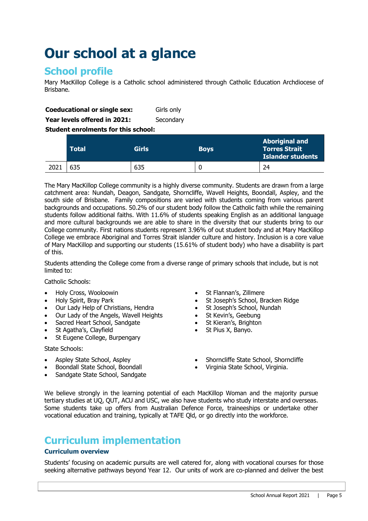# **Our school at a glance**

### **School profile**

Mary MacKillop College is a Catholic school administered through Catholic Education Archdiocese of Brisbane.

| <b>Coeducational or single sex:</b> | Girls only |
|-------------------------------------|------------|
|-------------------------------------|------------|

**Year levels offered in 2021:** Secondary

**Student enrolments for this school:**

|      | <b>Total</b> | <b>Girls</b> | <b>Boys</b> | <b>Aboriginal and</b><br><b>Torres Strait</b><br><b>Islander students</b> |
|------|--------------|--------------|-------------|---------------------------------------------------------------------------|
| 2021 | 635          | 635          |             | 24                                                                        |

The Mary MacKillop College community is a highly diverse community. Students are drawn from a large catchment area: Nundah, Deagon, Sandgate, Shorncliffe, Wavell Heights, Boondall, Aspley, and the south side of Brisbane. Family compositions are varied with students coming from various parent backgrounds and occupations. 50.2% of our student body follow the Catholic faith while the remaining students follow additional faiths. With 11.6% of students speaking English as an additional language and more cultural backgrounds we are able to share in the diversity that our students bring to our College community. First nations students represent 3.96% of out student body and at Mary MacKillop College we embrace Aboriginal and Torres Strait islander culture and history. Inclusion is a core value of Mary MacKillop and supporting our students (15.61% of student body) who have a disability is part of this.

Students attending the College come from a diverse range of primary schools that include, but is not limited to:

Catholic Schools:

- Holy Cross, Wooloowin
- Holy Spirit, Bray Park
- Our Lady Help of Christians, Hendra
- Our Lady of the Angels, Wavell Heights
- Sacred Heart School, Sandgate
- St Agatha's, Clayfield
- St Eugene College, Burpengary

State Schools:

- Aspley State School, Aspley
- Boondall State School, Boondall
- Sandgate State School, Sandgate
- St Flannan's, Zillmere
- St Joseph's School, Bracken Ridge
- St Joseph's School, Nundah<br>• St Kevin's. Geebung
- St Kevin's, Geebung
- St Kieran's, Brighton
- St Pius X, Banyo.
- Shorncliffe State School, Shorncliffe
- Virginia State School, Virginia.

We believe strongly in the learning potential of each MacKillop Woman and the majority pursue tertiary studies at UQ, QUT, ACU and USC, we also have students who study interstate and overseas. Some students take up offers from Australian Defence Force, traineeships or undertake other vocational education and training, typically at TAFE Qld, or go directly into the workforce.

## **Curriculum implementation**

#### **Curriculum overview**

Students' focusing on academic pursuits are well catered for, along with vocational courses for those seeking alternative pathways beyond Year 12. Our units of work are co-planned and deliver the best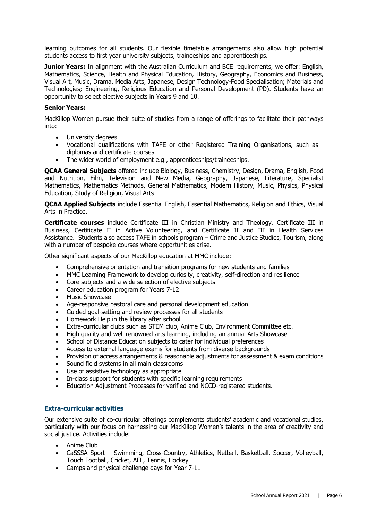learning outcomes for all students. Our flexible timetable arrangements also allow high potential students access to first year university subjects, traineeships and apprenticeships.

**Junior Years:** In alignment with the Australian Curriculum and BCE requirements, we offer: English, Mathematics, Science, Health and Physical Education, History, Geography, Economics and Business, Visual Art, Music, Drama, Media Arts, Japanese, Design Technology-Food Specialisation; Materials and Technologies; Engineering, Religious Education and Personal Development (PD). Students have an opportunity to select elective subjects in Years 9 and 10.

#### **Senior Years:**

MacKillop Women pursue their suite of studies from a range of offerings to facilitate their pathways into:

- University degrees
- Vocational qualifications with TAFE or other Registered Training Organisations, such as diplomas and certificate courses
- The wider world of employment e.g., apprenticeships/traineeships.

**QCAA General Subjects** offered include Biology, Business, Chemistry, Design, Drama, English, Food and Nutrition, Film, Television and New Media, Geography, Japanese, Literature, Specialist Mathematics, Mathematics Methods, General Mathematics, Modern History, Music, Physics, Physical Education, Study of Religion, Visual Arts

**QCAA Applied Subjects** include Essential English, Essential Mathematics, Religion and Ethics, Visual Arts in Practice.

**Certificate courses** include Certificate III in Christian Ministry and Theology, Certificate III in Business, Certificate II in Active Volunteering, and Certificate II and III in Health Services Assistance. Students also access TAFE in schools program – Crime and Justice Studies, Tourism, along with a number of bespoke courses where opportunities arise.

Other significant aspects of our MacKillop education at MMC include:

- Comprehensive orientation and transition programs for new students and families
- MMC Learning Framework to develop curiosity, creativity, self-direction and resilience
- Core subjects and a wide selection of elective subjects
- Career education program for Years 7-12
- Music Showcase
- Age-responsive pastoral care and personal development education
- Guided goal-setting and review processes for all students
- Homework Help in the library after school
- Extra-curricular clubs such as STEM club, Anime Club, Environment Committee etc.
- High quality and well renowned arts learning, including an annual Arts Showcase
- School of Distance Education subjects to cater for individual preferences
- Access to external language exams for students from diverse backgrounds
- Provision of access arrangements & reasonable adjustments for assessment & exam conditions
- Sound field systems in all main classrooms
- Use of assistive technology as appropriate
- In-class support for students with specific learning requirements
- Education Adjustment Processes for verified and NCCD-registered students.

#### **Extra-curricular activities**

Our extensive suite of co-curricular offerings complements students' academic and vocational studies, particularly with our focus on harnessing our MacKillop Women's talents in the area of creativity and social justice. Activities include:

- Anime Club
- CaSSSA Sport Swimming, Cross-Country, Athletics, Netball, Basketball, Soccer, Volleyball, Touch Football, Cricket, AFL, Tennis, Hockey
- Camps and physical challenge days for Year 7-11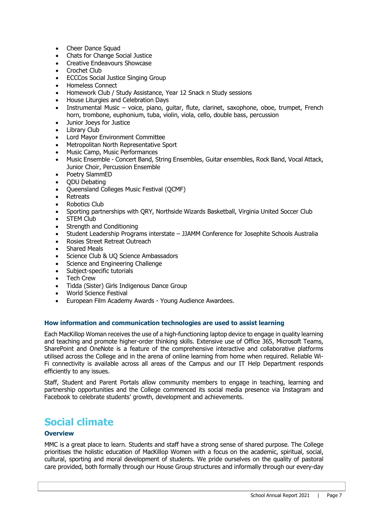- Cheer Dance Squad
- Chats for Change Social Justice
- Creative Endeavours Showcase
- Crochet Club
- ECCCos Social Justice Singing Group
- Homeless Connect
- Homework Club / Study Assistance, Year 12 Snack n Study sessions
- House Liturgies and Celebration Days
- Instrumental Music voice, piano, guitar, flute, clarinet, saxophone, oboe, trumpet, French horn, trombone, euphonium, tuba, violin, viola, cello, double bass, percussion
- Junior Joeys for Justice
- Library Club
- Lord Mayor Environment Committee
- Metropolitan North Representative Sport
- Music Camp, Music Performances
- Music Ensemble Concert Band, String Ensembles, Guitar ensembles, Rock Band, Vocal Attack, Junior Choir, Percussion Ensemble
- Poetry SlammED
- QDU Debating
- Queensland Colleges Music Festival (QCMF)
- **Retreats**
- Robotics Club
- Sporting partnerships with QRY, Northside Wizards Basketball, Virginia United Soccer Club
- **STEM Club**
- Strength and Conditioning
- Student Leadership Programs interstate JJAMM Conference for Josephite Schools Australia
- Rosies Street Retreat Outreach
- Shared Meals
- Science Club & UQ Science Ambassadors
- Science and Engineering Challenge
- Subject-specific tutorials
- Tech Crew
- Tidda (Sister) Girls Indigenous Dance Group
- World Science Festival
- European Film Academy Awards Young Audience Awardees.

#### **How information and communication technologies are used to assist learning**

Each MacKillop Woman receives the use of a high-functioning laptop device to engage in quality learning and teaching and promote higher-order thinking skills. Extensive use of Office 365, Microsoft Teams, SharePoint and OneNote is a feature of the comprehensive interactive and collaborative platforms utilised across the College and in the arena of online learning from home when required. Reliable Wi-Fi connectivity is available across all areas of the Campus and our IT Help Department responds efficiently to any issues.

Staff, Student and Parent Portals allow community members to engage in teaching, learning and partnership opportunities and the College commenced its social media presence via Instagram and Facebook to celebrate students' growth, development and achievements.

## **Social climate**

#### **Overview**

MMC is a great place to learn. Students and staff have a strong sense of shared purpose. The College prioritises the holistic education of MacKillop Women with a focus on the academic, spiritual, social, cultural, sporting and moral development of students. We pride ourselves on the quality of pastoral care provided, both formally through our House Group structures and informally through our every-day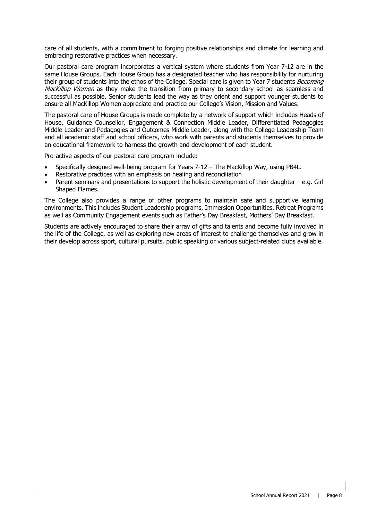care of all students, with a commitment to forging positive relationships and climate for learning and embracing restorative practices when necessary.

Our pastoral care program incorporates a vertical system where students from Year 7-12 are in the same House Groups. Each House Group has a designated teacher who has responsibility for nurturing their group of students into the ethos of the College. Special care is given to Year 7 students *Becoming* MacKillop Women as they make the transition from primary to secondary school as seamless and successful as possible. Senior students lead the way as they orient and support younger students to ensure all MacKillop Women appreciate and practice our College's Vision, Mission and Values.

The pastoral care of House Groups is made complete by a network of support which includes Heads of House, Guidance Counsellor, Engagement & Connection Middle Leader, Differentiated Pedagogies Middle Leader and Pedagogies and Outcomes Middle Leader, along with the College Leadership Team and all academic staff and school officers, who work with parents and students themselves to provide an educational framework to harness the growth and development of each student.

Pro-active aspects of our pastoral care program include:

- Specifically designed well-being program for Years 7-12 The MacKillop Way, using PB4L.
- Restorative practices with an emphasis on healing and reconciliation
- Parent seminars and presentations to support the holistic development of their daughter e.g. Girl Shaped Flames.

The College also provides a range of other programs to maintain safe and supportive learning environments. This includes Student Leadership programs, Immersion Opportunities, Retreat Programs as well as Community Engagement events such as Father's Day Breakfast, Mothers' Day Breakfast.

Students are actively encouraged to share their array of gifts and talents and become fully involved in the life of the College, as well as exploring new areas of interest to challenge themselves and grow in their develop across sport, cultural pursuits, public speaking or various subject-related clubs available.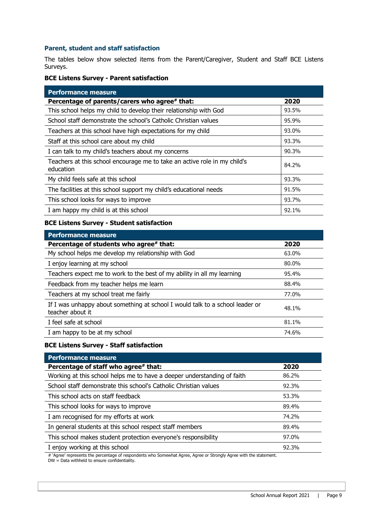#### **Parent, student and staff satisfaction**

The tables below show selected items from the Parent/Caregiver, Student and Staff BCE Listens Surveys.

#### **BCE Listens Survey - Parent satisfaction**

| <b>Performance measure</b>                                                             |       |  |
|----------------------------------------------------------------------------------------|-------|--|
| Percentage of parents/carers who agree# that:                                          | 2020  |  |
| This school helps my child to develop their relationship with God                      | 93.5% |  |
| School staff demonstrate the school's Catholic Christian values                        | 95.9% |  |
| Teachers at this school have high expectations for my child                            | 93.0% |  |
| Staff at this school care about my child                                               | 93.3% |  |
| I can talk to my child's teachers about my concerns                                    | 90.3% |  |
| Teachers at this school encourage me to take an active role in my child's<br>education | 84.2% |  |
| My child feels safe at this school                                                     | 93.3% |  |
| The facilities at this school support my child's educational needs<br>91.5%            |       |  |
| This school looks for ways to improve                                                  | 93.7% |  |
| I am happy my child is at this school                                                  | 92.1% |  |

#### **BCE Listens Survey - Student satisfaction**

| <b>Performance measure</b>                                                                        |       |  |  |  |
|---------------------------------------------------------------------------------------------------|-------|--|--|--|
| Percentage of students who agree* that:                                                           |       |  |  |  |
| My school helps me develop my relationship with God                                               | 63.0% |  |  |  |
| I enjoy learning at my school                                                                     | 80.0% |  |  |  |
| Teachers expect me to work to the best of my ability in all my learning                           | 95.4% |  |  |  |
| Feedback from my teacher helps me learn                                                           | 88.4% |  |  |  |
| Teachers at my school treat me fairly                                                             | 77.0% |  |  |  |
| If I was unhappy about something at school I would talk to a school leader or<br>teacher about it | 48.1% |  |  |  |
| I feel safe at school                                                                             | 81.1% |  |  |  |
| I am happy to be at my school                                                                     | 74.6% |  |  |  |

#### **BCE Listens Survey - Staff satisfaction**

| <b>Performance measure</b>                                              |       |  |  |  |
|-------------------------------------------------------------------------|-------|--|--|--|
| Percentage of staff who agree* that:<br>2020                            |       |  |  |  |
| Working at this school helps me to have a deeper understanding of faith | 86.2% |  |  |  |
| School staff demonstrate this school's Catholic Christian values        | 92.3% |  |  |  |
| This school acts on staff feedback                                      | 53.3% |  |  |  |
| This school looks for ways to improve                                   | 89.4% |  |  |  |
| I am recognised for my efforts at work                                  | 74.2% |  |  |  |
| In general students at this school respect staff members                | 89.4% |  |  |  |
| This school makes student protection everyone's responsibility          | 97.0% |  |  |  |
| I enjoy working at this school                                          | 92.3% |  |  |  |

# 'Agree' represents the percentage of respondents who Somewhat Agree, Agree or Strongly Agree with the statement. DW = Data withheld to ensure confidentiality.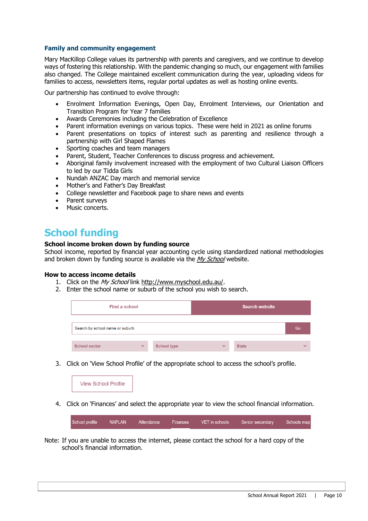#### **Family and community engagement**

Mary MacKillop College values its partnership with parents and caregivers, and we continue to develop ways of fostering this relationship. With the pandemic changing so much, our engagement with families also changed. The College maintained excellent communication during the year, uploading videos for families to access, newsletters items, regular portal updates as well as hosting online events.

Our partnership has continued to evolve through:

- Enrolment Information Evenings, Open Day, Enrolment Interviews, our Orientation and Transition Program for Year 7 families
- Awards Ceremonies including the Celebration of Excellence
- Parent information evenings on various topics. These were held in 2021 as online forums
- Parent presentations on topics of interest such as parenting and resilience through a partnership with Girl Shaped Flames
- Sporting coaches and team managers
- Parent, Student, Teacher Conferences to discuss progress and achievement.
- Aboriginal family involvement increased with the employment of two Cultural Liaison Officers to led by our Tidda Girls
- Nundah ANZAC Day march and memorial service
- Mother's and Father's Day Breakfast
- College newsletter and Facebook page to share news and events
- Parent surveys
- Music concerts.

## **School funding**

#### **School income broken down by funding source**

School income, reported by financial year accounting cycle using standardized national methodologies and broken down by funding source is available via the [My School](http://www.myschool.edu.au/) website.

#### **How to access income details**

- 1. Click on the My School link [http://www.myschool.edu.au/.](http://www.myschool.edu.au/)
- 2. Enter the school name or suburb of the school you wish to search.

| Find a school                   |              |                    |              | <b>Search website</b> |              |
|---------------------------------|--------------|--------------------|--------------|-----------------------|--------------|
| Search by school name or suburb |              |                    |              |                       | Go           |
| <b>School sector</b>            | $\checkmark$ | <b>School type</b> | $\checkmark$ | <b>State</b>          | $\checkmark$ |

3. Click on 'View School Profile' of the appropriate school to access the school's profile.



4. Click on 'Finances' and select the appropriate year to view the school financial information.

| School profile NAPLAN Attendance Finances VET in schools Senior secondary Schools map |  |  |  |  |  |  |  |
|---------------------------------------------------------------------------------------|--|--|--|--|--|--|--|
|---------------------------------------------------------------------------------------|--|--|--|--|--|--|--|

Note: If you are unable to access the internet, please contact the school for a hard copy of the school's financial information.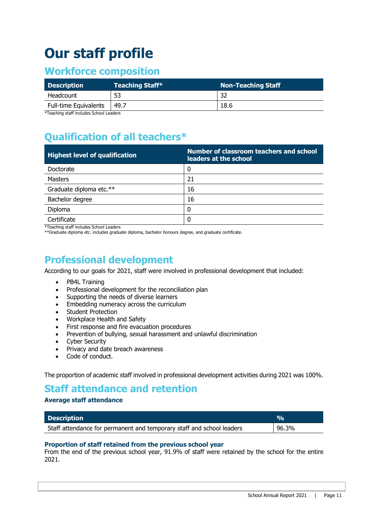# **Our staff profile**

### **Workforce composition**

| <b>Description</b>           | <b>Teaching Staff*</b> | <b>Non-Teaching Staff</b> |
|------------------------------|------------------------|---------------------------|
| Headcount                    |                        | 32                        |
| <b>Full-time Equivalents</b> | 49.7                   | 18.6                      |

\*Teaching staff includes School Leaders

# **Qualification of all teachers\***

| <b>Highest level of qualification</b> | Number of classroom teachers and school<br>leaders at the school |
|---------------------------------------|------------------------------------------------------------------|
| Doctorate                             | 0                                                                |
| <b>Masters</b>                        | 21                                                               |
| Graduate diploma etc.**               | 16                                                               |
| Bachelor degree                       | 16                                                               |
| Diploma                               | 0                                                                |
| Certificate                           | 0                                                                |

\*Teaching staff includes School Leaders

\*\*Graduate diploma etc. includes graduate diploma, bachelor honours degree, and graduate certificate.

### **Professional development**

According to our goals for 2021, staff were involved in professional development that included:

- PB4L Training
- Professional development for the reconciliation plan
- Supporting the needs of diverse learners
- Embedding numeracy across the curriculum
- Student Protection
- Workplace Health and Safety
- First response and fire evacuation procedures
- Prevention of bullying, sexual harassment and unlawful discrimination
- Cyber Security
- Privacy and date breach awareness
- Code of conduct.

The proportion of academic staff involved in professional development activities during 2021 was 100%.

### **Staff attendance and retention**

#### **Average staff attendance**

| <b>Description</b>                                                    | $O_{\Omega}$ |
|-----------------------------------------------------------------------|--------------|
| Staff attendance for permanent and temporary staff and school leaders | $96.3\%$     |

#### **Proportion of staff retained from the previous school year**

From the end of the previous school year, 91.9% of staff were retained by the school for the entire 2021.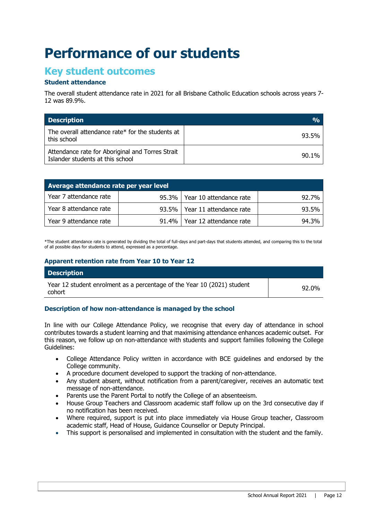# **Performance of our students**

# **Key student outcomes Student attendance**

The overall student attendance rate in 2021 for all Brisbane Catholic Education schools across years 7- 12 was 89.9%.

| <b>Description</b>                                                                   | $\frac{0}{0}$ |  |
|--------------------------------------------------------------------------------------|---------------|--|
| The overall attendance rate* for the students at<br>this school                      | 93.5%         |  |
| Attendance rate for Aboriginal and Torres Strait<br>Islander students at this school | $90.1\%$      |  |

| Average attendance rate per year level |  |                                 |       |  |  |
|----------------------------------------|--|---------------------------------|-------|--|--|
| Year 7 attendance rate                 |  | 95.3%   Year 10 attendance rate | 92.7% |  |  |
| Year 8 attendance rate                 |  | 93.5%   Year 11 attendance rate | 93.5% |  |  |
| Year 9 attendance rate                 |  | 91.4%   Year 12 attendance rate | 94.3% |  |  |

\*The student attendance rate is generated by dividing the total of full-days and part-days that students attended, and comparing this to the total of all possible days for students to attend, expressed as a percentage.

#### **Apparent retention rate from Year 10 to Year 12**

| <b>Description</b>                                                                |       |
|-----------------------------------------------------------------------------------|-------|
| Year 12 student enrolment as a percentage of the Year 10 (2021) student<br>cohort | 92.0% |

#### **Description of how non-attendance is managed by the school**

In line with our College Attendance Policy, we recognise that every day of attendance in school contributes towards a student learning and that maximising attendance enhances academic outset. For this reason, we follow up on non-attendance with students and support families following the College Guidelines:

- College Attendance Policy written in accordance with BCE guidelines and endorsed by the College community.
- A procedure document developed to support the tracking of non-attendance.
- Any student absent, without notification from a parent/caregiver, receives an automatic text message of non-attendance.
- Parents use the Parent Portal to notify the College of an absenteeism.
- House Group Teachers and Classroom academic staff follow up on the 3rd consecutive day if no notification has been received.
- Where required, support is put into place immediately via House Group teacher, Classroom academic staff, Head of House, Guidance Counsellor or Deputy Principal.
- This support is personalised and implemented in consultation with the student and the family.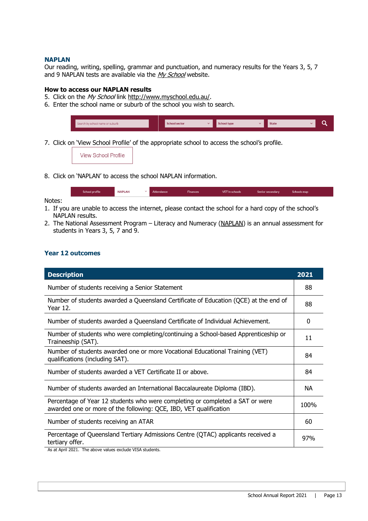#### **NAPLAN**

Our reading, writing, spelling, grammar and punctuation, and numeracy results for the Years 3, 5, 7 and 9 NAPLAN tests are available via the [My School](http://www.myschool.edu.au/) website.

#### **How to access our NAPLAN results**

- 5. Click on the My School link [http://www.myschool.edu.au/.](http://www.myschool.edu.au/)
- 6. Enter the school name or suburb of the school you wish to search.



7. Click on 'View School Profile' of the appropriate school to access the school's profile.

**View School Profile** 

8. Click on 'NAPLAN' to access the school NAPLAN information.

| School profile | <b>NAPLAN</b> | $\sim$ | Attendance | <b>Finances</b> | <b>VET</b> in schools | Senior secondary | Schools map |
|----------------|---------------|--------|------------|-----------------|-----------------------|------------------|-------------|
|                |               |        |            |                 |                       |                  |             |

Notes:

- 1. If you are unable to access the internet, please contact the school for a hard copy of the school's NAPLAN results.
- 2. The National Assessment Program Literacy and Numeracy [\(NAPLAN\)](http://www.nap.edu.au/naplan) is an annual assessment for students in Years 3, 5, 7 and 9.

#### **Year 12 outcomes**

| <b>Description</b>                                                                                                                                 | 2021 |
|----------------------------------------------------------------------------------------------------------------------------------------------------|------|
| Number of students receiving a Senior Statement                                                                                                    | 88   |
| Number of students awarded a Queensland Certificate of Education (QCE) at the end of<br>Year 12.                                                   | 88   |
| Number of students awarded a Queensland Certificate of Individual Achievement.                                                                     | 0    |
| Number of students who were completing/continuing a School-based Apprenticeship or<br>Traineeship (SAT).                                           | 11   |
| Number of students awarded one or more Vocational Educational Training (VET)<br>qualifications (including SAT).                                    | 84   |
| Number of students awarded a VET Certificate II or above.                                                                                          | 84   |
| Number of students awarded an International Baccalaureate Diploma (IBD).                                                                           | NA.  |
| Percentage of Year 12 students who were completing or completed a SAT or were<br>awarded one or more of the following: QCE, IBD, VET qualification | 100% |
| Number of students receiving an ATAR                                                                                                               | 60   |
| Percentage of Queensland Tertiary Admissions Centre (QTAC) applicants received a<br>tertiary offer.                                                | 97%  |

As at April 2021. The above values exclude VISA students.